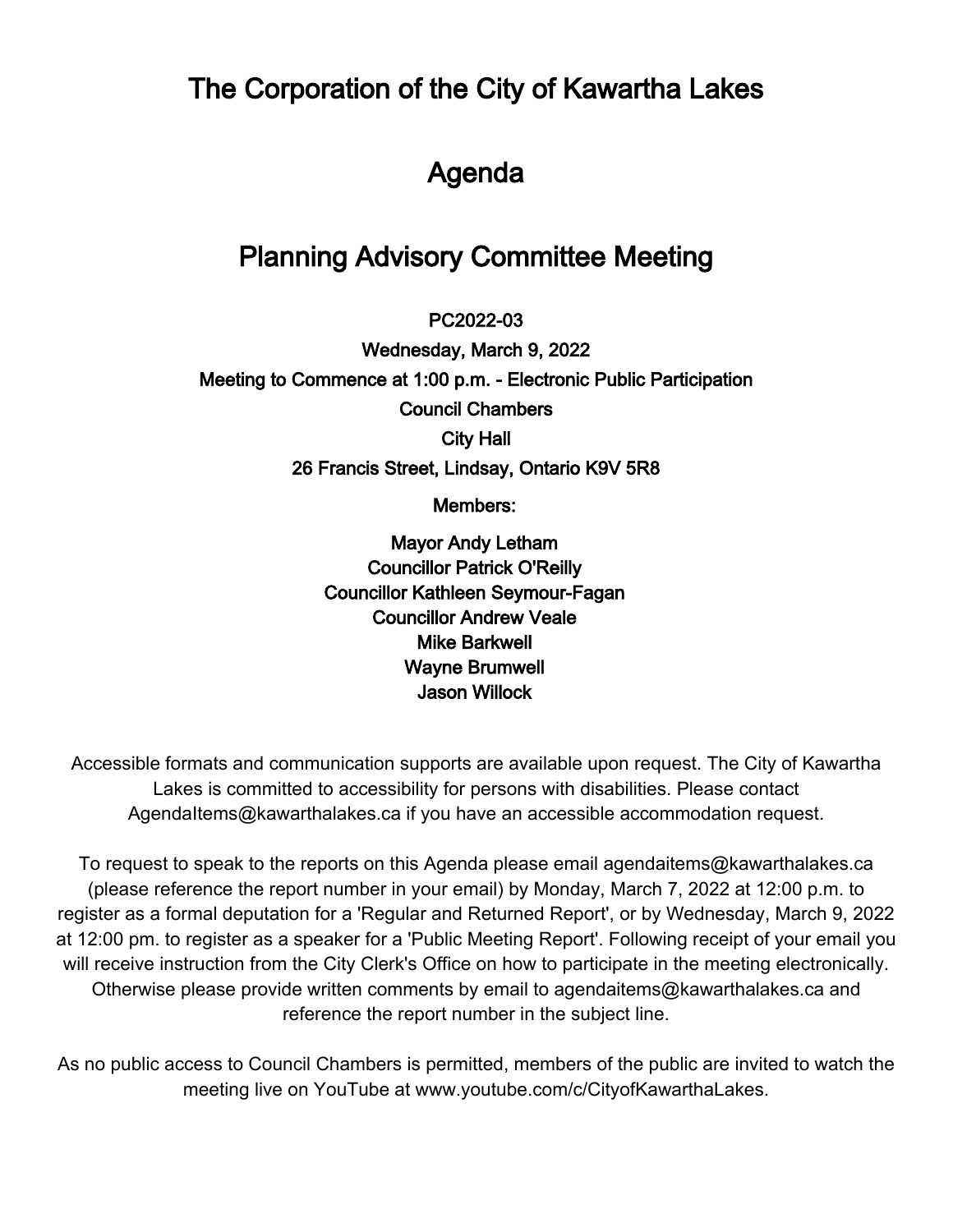The Corporation of the City of Kawartha Lakes

# Agenda

# Planning Advisory Committee Meeting

 $\overline{\phantom{a}}$ PC2022-03

Wednesday, March 9, 2022 Meeting to Commence at 1:00 p.m. - Electronic Public Participation Council Chambers City Hall 26 Francis Street, Lindsay, Ontario K9V 5R8

Members:

Mayor Andy Letham Councillor Patrick O'Reilly Councillor Kathleen Seymour-Fagan Councillor Andrew Veale Mike Barkwell Wayne Brumwell Jason Willock

Accessible formats and communication supports are available upon request. The City of Kawartha Lakes is committed to accessibility for persons with disabilities. Please contact AgendaItems@kawarthalakes.ca if you have an accessible accommodation request.

To request to speak to the reports on this Agenda please email agendaitems@kawarthalakes.ca (please reference the report number in your email) by Monday, March 7, 2022 at 12:00 p.m. to register as a formal deputation for a 'Regular and Returned Report', or by Wednesday, March 9, 2022 at 12:00 pm. to register as a speaker for a 'Public Meeting Report'. Following receipt of your email you will receive instruction from the City Clerk's Office on how to participate in the meeting electronically. Otherwise please provide written comments by email to agendaitems@kawarthalakes.ca and reference the report number in the subject line.

As no public access to Council Chambers is permitted, members of the public are invited to watch the meeting live on YouTube at www.youtube.com/c/CityofKawarthaLakes.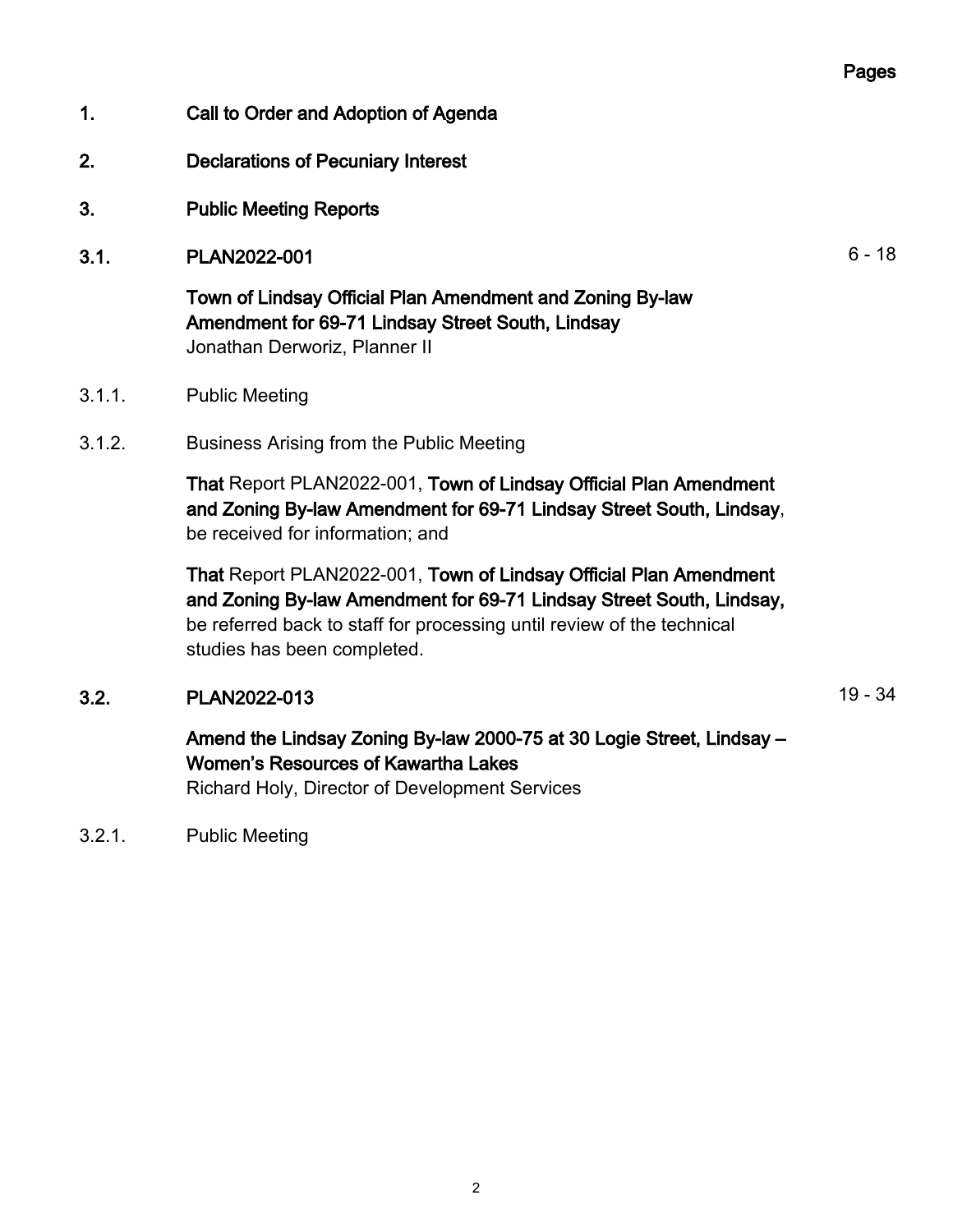#### Pages

- 1. Call to Order and Adoption of Agenda
- 2. Declarations of Pecuniary Interest
- 3. Public Meeting Reports
- 3.1. PLAN2022-001 6-18

Town of Lindsay Official Plan Amendment and Zoning By-law Amendment for 69-71 Lindsay Street South, Lindsay Jonathan Derworiz, Planner II

- 3.1.1. Public Meeting
- 3.1.2. Business Arising from the Public Meeting

That Report PLAN2022-001, Town of Lindsay Official Plan Amendment and Zoning By-law Amendment for 69-71 Lindsay Street South, Lindsay, be received for information; and

That Report PLAN2022-001, Town of Lindsay Official Plan Amendment and Zoning By-law Amendment for 69-71 Lindsay Street South, Lindsay, be referred back to staff for processing until review of the technical studies has been completed.

### 3.2. PLAN2022-013 19 - 34

## Amend the Lindsay Zoning By-law 2000-75 at 30 Logie Street, Lindsay – Women's Resources of Kawartha Lakes

Richard Holy, Director of Development Services

3.2.1. Public Meeting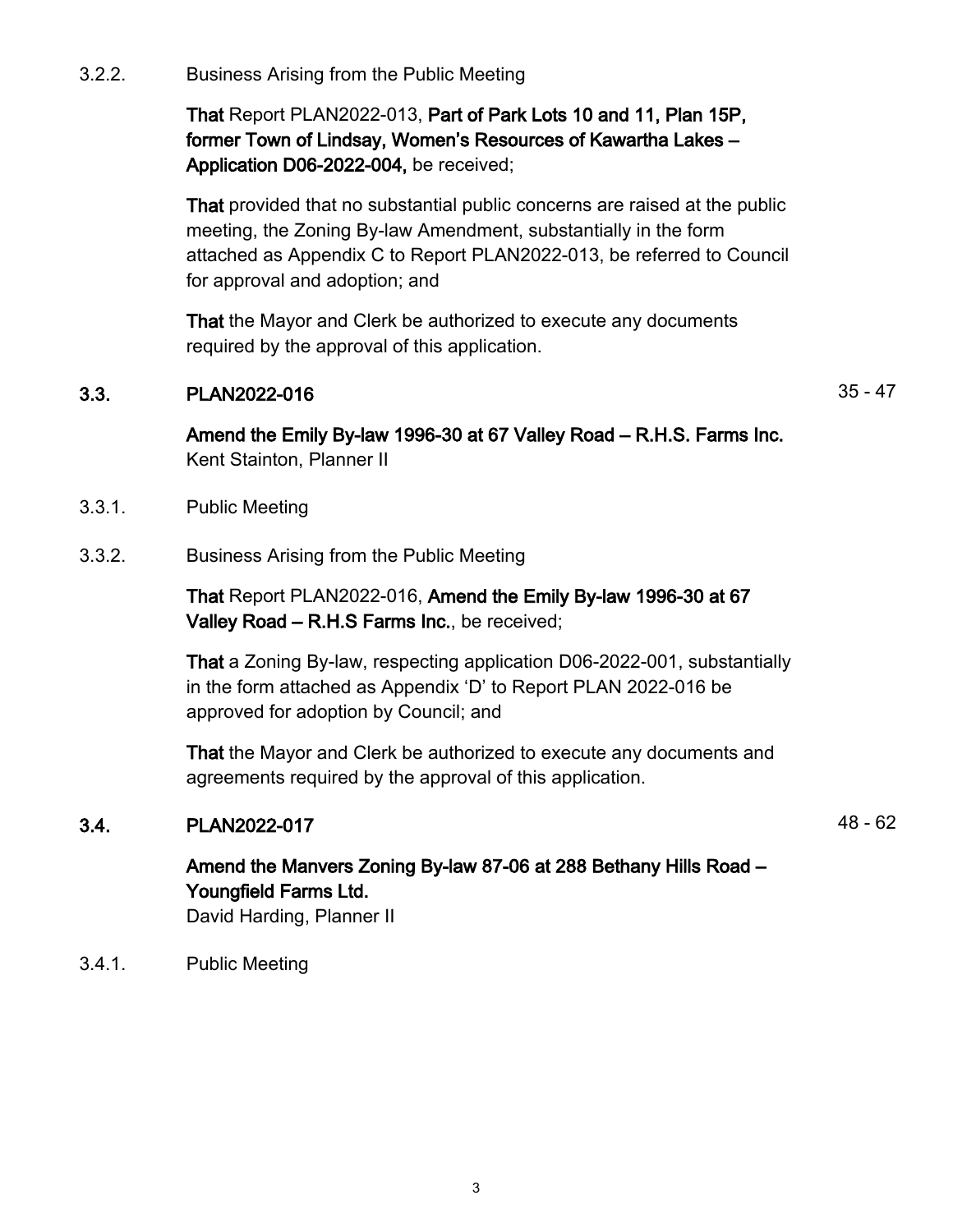3.2.2. Business Arising from the Public Meeting

That Report PLAN2022-013, Part of Park Lots 10 and 11, Plan 15P, former Town of Lindsay, Women's Resources of Kawartha Lakes – Application D06-2022-004, be received;

That provided that no substantial public concerns are raised at the public meeting, the Zoning By-law Amendment, substantially in the form attached as Appendix C to Report PLAN2022-013, be referred to Council for approval and adoption; and

That the Mayor and Clerk be authorized to execute any documents required by the approval of this application.

#### 3.3. PLAN2022-016 35 - 47

Amend the Emily By-law 1996-30 at 67 Valley Road – R.H.S. Farms Inc. Kent Stainton, Planner II

- 3.3.1. Public Meeting
- 3.3.2. Business Arising from the Public Meeting

That Report PLAN2022-016, Amend the Emily By-law 1996-30 at 67 Valley Road – R.H.S Farms Inc., be received;

That a Zoning By-law, respecting application D06-2022-001, substantially in the form attached as Appendix 'D' to Report PLAN 2022-016 be approved for adoption by Council; and

That the Mayor and Clerk be authorized to execute any documents and agreements required by the approval of this application.

#### **3.4.** PLAN2022-017 **12.48 - 62**

## Amend the Manvers Zoning By-law 87-06 at 288 Bethany Hills Road – Youngfield Farms Ltd.

David Harding, Planner II

3.4.1. Public Meeting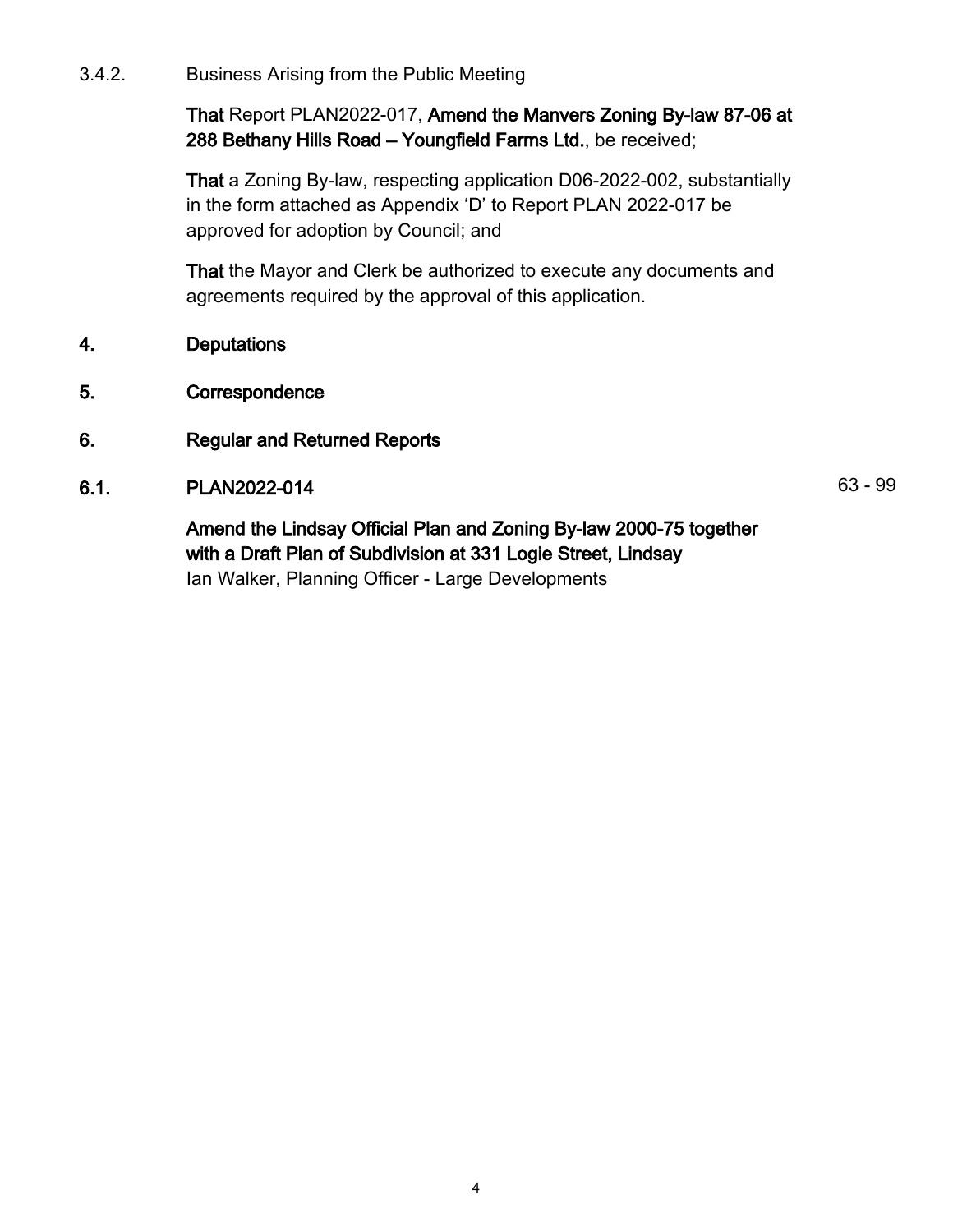3.4.2. Business Arising from the Public Meeting

That Report PLAN2022-017, Amend the Manvers Zoning By-law 87-06 at 288 Bethany Hills Road – Youngfield Farms Ltd., be received;

That a Zoning By-law, respecting application D06-2022-002, substantially in the form attached as Appendix 'D' to Report PLAN 2022-017 be approved for adoption by Council; and

That the Mayor and Clerk be authorized to execute any documents and agreements required by the approval of this application.

- 4. Deputations
- 5. Correspondence
- 6. Regular and Returned Reports
- 6.1. PLAN2022-014 63 99

Amend the Lindsay Official Plan and Zoning By-law 2000-75 together with a Draft Plan of Subdivision at 331 Logie Street, Lindsay Ian Walker, Planning Officer - Large Developments